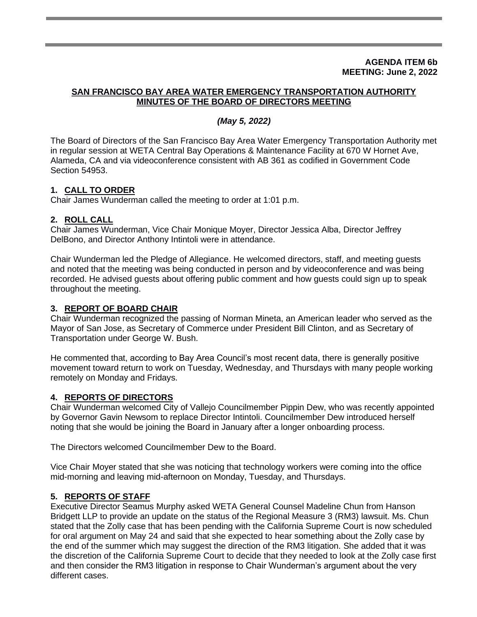#### **AGENDA ITEM 6b MEETING: June 2, 2022**

## **SAN FRANCISCO BAY AREA WATER EMERGENCY TRANSPORTATION AUTHORITY MINUTES OF THE BOARD OF DIRECTORS MEETING**

## *(May 5, 2022)*

The Board of Directors of the San Francisco Bay Area Water Emergency Transportation Authority met in regular session at WETA Central Bay Operations & Maintenance Facility at 670 W Hornet Ave, Alameda, CA and via videoconference consistent with AB 361 as codified in Government Code Section 54953.

# **1. CALL TO ORDER**

Chair James Wunderman called the meeting to order at 1:01 p.m.

## **2. ROLL CALL**

Chair James Wunderman, Vice Chair Monique Moyer, Director Jessica Alba, Director Jeffrey DelBono, and Director Anthony Intintoli were in attendance.

Chair Wunderman led the Pledge of Allegiance. He welcomed directors, staff, and meeting guests and noted that the meeting was being conducted in person and by videoconference and was being recorded. He advised guests about offering public comment and how guests could sign up to speak throughout the meeting.

## **3. REPORT OF BOARD CHAIR**

Chair Wunderman recognized the passing of Norman Mineta, an American leader who served as the Mayor of San Jose, as Secretary of Commerce under President Bill Clinton, and as Secretary of Transportation under George W. Bush.

He commented that, according to Bay Area Council's most recent data, there is generally positive movement toward return to work on Tuesday, Wednesday, and Thursdays with many people working remotely on Monday and Fridays.

## **4. REPORTS OF DIRECTORS**

Chair Wunderman welcomed City of Vallejo Councilmember Pippin Dew, who was recently appointed by Governor Gavin Newsom to replace Director Intintoli. Councilmember Dew introduced herself noting that she would be joining the Board in January after a longer onboarding process.

The Directors welcomed Councilmember Dew to the Board.

Vice Chair Moyer stated that she was noticing that technology workers were coming into the office mid-morning and leaving mid-afternoon on Monday, Tuesday, and Thursdays.

# **5. REPORTS OF STAFF**

Executive Director Seamus Murphy asked WETA General Counsel Madeline Chun from Hanson Bridgett LLP to provide an update on the status of the Regional Measure 3 (RM3) lawsuit. Ms. Chun stated that the Zolly case that has been pending with the California Supreme Court is now scheduled for oral argument on May 24 and said that she expected to hear something about the Zolly case by the end of the summer which may suggest the direction of the RM3 litigation. She added that it was the discretion of the California Supreme Court to decide that they needed to look at the Zolly case first and then consider the RM3 litigation in response to Chair Wunderman's argument about the very different cases.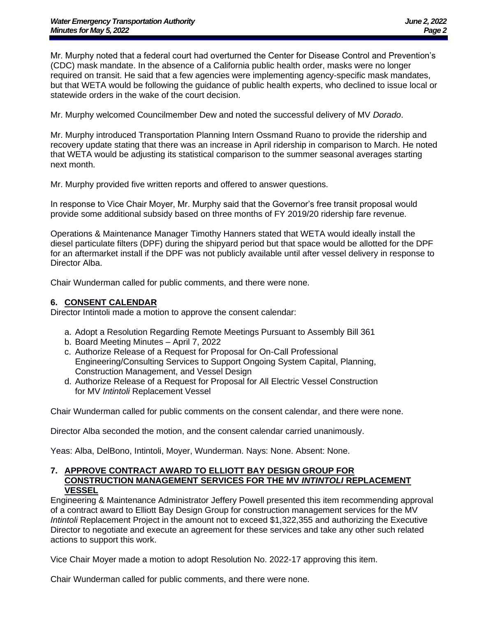Mr. Murphy noted that a federal court had overturned the Center for Disease Control and Prevention's (CDC) mask mandate. In the absence of a California public health order, masks were no longer required on transit. He said that a few agencies were implementing agency-specific mask mandates, but that WETA would be following the guidance of public health experts, who declined to issue local or statewide orders in the wake of the court decision.

Mr. Murphy welcomed Councilmember Dew and noted the successful delivery of MV *Dorado*.

Mr. Murphy introduced Transportation Planning Intern Ossmand Ruano to provide the ridership and recovery update stating that there was an increase in April ridership in comparison to March. He noted that WETA would be adjusting its statistical comparison to the summer seasonal averages starting next month.

Mr. Murphy provided five written reports and offered to answer questions.

In response to Vice Chair Moyer, Mr. Murphy said that the Governor's free transit proposal would provide some additional subsidy based on three months of FY 2019/20 ridership fare revenue.

Operations & Maintenance Manager Timothy Hanners stated that WETA would ideally install the diesel particulate filters (DPF) during the shipyard period but that space would be allotted for the DPF for an aftermarket install if the DPF was not publicly available until after vessel delivery in response to Director Alba.

Chair Wunderman called for public comments, and there were none.

#### **6. CONSENT CALENDAR**

Director Intintoli made a motion to approve the consent calendar:

- a. Adopt a Resolution Regarding Remote Meetings Pursuant to Assembly Bill 361
- b. Board Meeting Minutes April 7, 2022
- c. Authorize Release of a Request for Proposal for On-Call Professional Engineering/Consulting Services to Support Ongoing System Capital, Planning, Construction Management, and Vessel Design
- d. Authorize Release of a Request for Proposal for All Electric Vessel Construction for MV *Intintoli* Replacement Vessel

Chair Wunderman called for public comments on the consent calendar, and there were none.

Director Alba seconded the motion, and the consent calendar carried unanimously.

Yeas: Alba, DelBono, Intintoli, Moyer, Wunderman. Nays: None. Absent: None.

#### **7. APPROVE CONTRACT AWARD TO ELLIOTT BAY DESIGN GROUP FOR CONSTRUCTION MANAGEMENT SERVICES FOR THE MV** *INTINTOLI* **REPLACEMENT VESSEL**

Engineering & Maintenance Administrator Jeffery Powell presented this item recommending approval of a contract award to Elliott Bay Design Group for construction management services for the MV *Intintoli* Replacement Project in the amount not to exceed \$1,322,355 and authorizing the Executive Director to negotiate and execute an agreement for these services and take any other such related actions to support this work.

Vice Chair Moyer made a motion to adopt Resolution No. 2022-17 approving this item.

Chair Wunderman called for public comments, and there were none.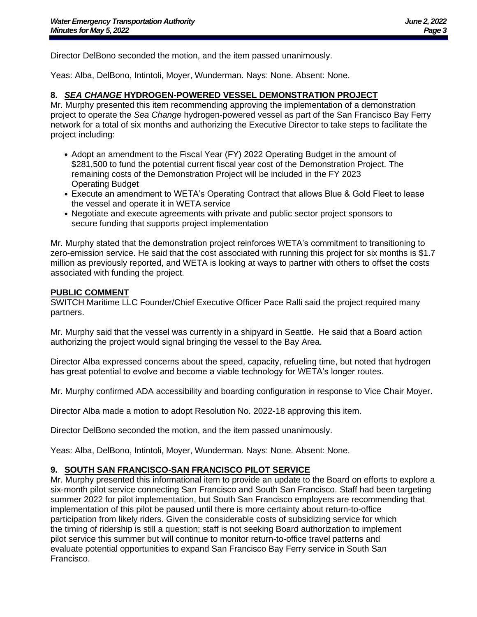Director DelBono seconded the motion, and the item passed unanimously.

Yeas: Alba, DelBono, Intintoli, Moyer, Wunderman. Nays: None. Absent: None.

#### **8.** *SEA CHANGE* **HYDROGEN-POWERED VESSEL DEMONSTRATION PROJECT**

Mr. Murphy presented this item recommending approving the implementation of a demonstration project to operate the *Sea Change* hydrogen-powered vessel as part of the San Francisco Bay Ferry network for a total of six months and authorizing the Executive Director to take steps to facilitate the project including:

- Adopt an amendment to the Fiscal Year (FY) 2022 Operating Budget in the amount of \$281,500 to fund the potential current fiscal year cost of the Demonstration Project. The remaining costs of the Demonstration Project will be included in the FY 2023 Operating Budget
- Execute an amendment to WETA's Operating Contract that allows Blue & Gold Fleet to lease the vessel and operate it in WETA service
- Negotiate and execute agreements with private and public sector project sponsors to secure funding that supports project implementation

Mr. Murphy stated that the demonstration project reinforces WETA's commitment to transitioning to zero-emission service. He said that the cost associated with running this project for six months is \$1.7 million as previously reported, and WETA is looking at ways to partner with others to offset the costs associated with funding the project.

#### **PUBLIC COMMENT**

SWITCH Maritime LLC Founder/Chief Executive Officer Pace Ralli said the project required many partners.

Mr. Murphy said that the vessel was currently in a shipyard in Seattle. He said that a Board action authorizing the project would signal bringing the vessel to the Bay Area.

Director Alba expressed concerns about the speed, capacity, refueling time, but noted that hydrogen has great potential to evolve and become a viable technology for WETA's longer routes.

Mr. Murphy confirmed ADA accessibility and boarding configuration in response to Vice Chair Moyer.

Director Alba made a motion to adopt Resolution No. 2022-18 approving this item.

Director DelBono seconded the motion, and the item passed unanimously.

Yeas: Alba, DelBono, Intintoli, Moyer, Wunderman. Nays: None. Absent: None.

## **9. SOUTH SAN FRANCISCO-SAN FRANCISCO PILOT SERVICE**

Mr. Murphy presented this informational item to provide an update to the Board on efforts to explore a six-month pilot service connecting San Francisco and South San Francisco. Staff had been targeting summer 2022 for pilot implementation, but South San Francisco employers are recommending that implementation of this pilot be paused until there is more certainty about return-to-office participation from likely riders. Given the considerable costs of subsidizing service for which the timing of ridership is still a question; staff is not seeking Board authorization to implement pilot service this summer but will continue to monitor return-to-office travel patterns and evaluate potential opportunities to expand San Francisco Bay Ferry service in South San Francisco.